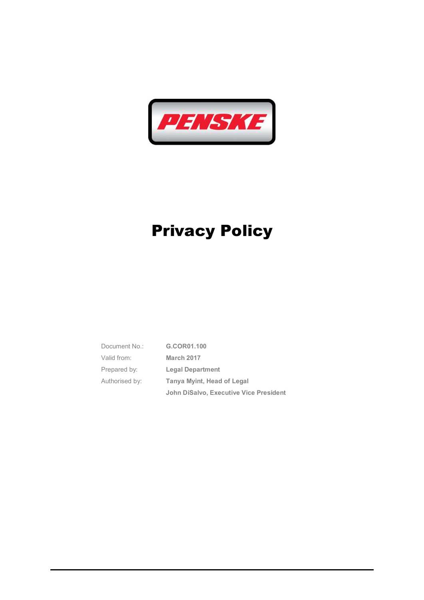

 Document No.: G.COR01.100 Valid from: March 2017 Prepared by: **Legal Department** Authorised by: Tanya Myint, Head of Legal John DiSalvo, Executive Vice President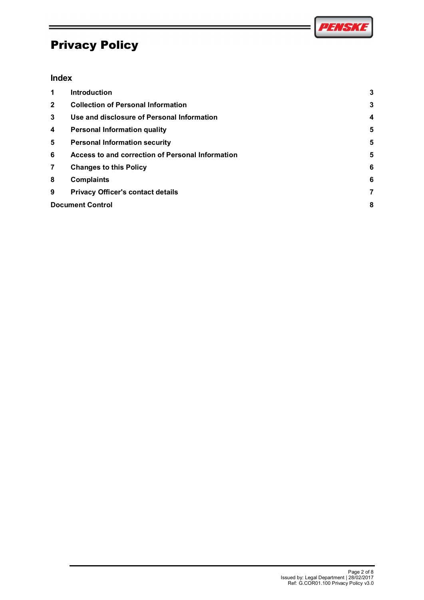

#### Index

|                         |                                                  | 271671       |
|-------------------------|--------------------------------------------------|--------------|
|                         |                                                  |              |
|                         | <b>Privacy Policy</b>                            |              |
|                         |                                                  |              |
| <b>Index</b>            |                                                  |              |
| $\mathbf 1$             | Introduction                                     | $\mathbf{3}$ |
| $\mathbf{2}$            | <b>Collection of Personal Information</b>        | 3            |
| 3                       | Use and disclosure of Personal Information       | 4            |
| 4                       | <b>Personal Information quality</b>              | 5            |
| 5                       | <b>Personal Information security</b>             | 5            |
| 6                       | Access to and correction of Personal Information | 5            |
| $\overline{\mathbf{7}}$ | <b>Changes to this Policy</b>                    | 6            |
| 8                       | <b>Complaints</b>                                | ĥ            |
| 9                       | <b>Privacy Officer's contact details</b>         | 7            |
|                         | <b>Document Control</b>                          | 8            |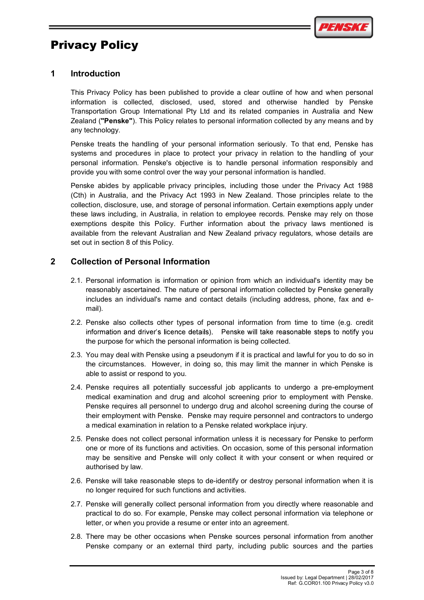

#### 1 Introduction

This Privacy Policy has been published to provide a clear outline of how and when personal information is collected, disclosed, used, stored and otherwise handled by Penske Transportation Group International Pty Ltd and its related companies in Australia and New Zealand ("Penske"). This Policy relates to personal information collected by any means and by any technology.

Penske treats the handling of your personal information seriously. To that end, Penske has systems and procedures in place to protect your privacy in relation to the handling of your personal information. Penske's objective is to handle personal information responsibly and provide you with some control over the way your personal information is handled.

Penske abides by applicable privacy principles, including those under the Privacy Act 1988 (Cth) in Australia, and the Privacy Act 1993 in New Zealand. Those principles relate to the collection, disclosure, use, and storage of personal information. Certain exemptions apply under these laws including, in Australia, in relation to employee records. Penske may rely on those exemptions despite this Policy. Further information about the privacy laws mentioned is available from the relevant Australian and New Zealand privacy regulators, whose details are set out in section 8 of this Policy. provide you with some control over the way your personal information is handled.<br>Penske abides by applicable privacy principles, including those under the Privacy Act 1988<br>(Clh) in Australia, and the Privacy Act 1993 in Ne

#### 2 Collection of Personal Information

- 2.1. Personal information is information or opinion from which an individual's identity may be reasonably ascertained. The nature of personal information collected by Penske generally includes an individual's name and contact details (including address, phone, fax and email).
- 2.2. Penske also collects other types of personal information from time to time (e.g. credit the purpose for which the personal information is being collected.
- the circumstances. However, in doing so, this may limit the manner in which Penske is able to assist or respond to you.
- 2.4. Penske requires all potentially successful job applicants to undergo a pre-employment medical examination and drug and alcohol screening prior to employment with Penske. Penske requires all personnel to undergo drug and alcohol screening during the course of their employment with Penske. Penske may require personnel and contractors to undergo a medical examination in relation to a Penske related workplace injury.
- 2.5. Penske does not collect personal information unless it is necessary for Penske to perform one or more of its functions and activities. On occasion, some of this personal information may be sensitive and Penske will only collect it with your consent or when required or authorised by law.
- 2.6. Penske will take reasonable steps to de-identify or destroy personal information when it is no longer required for such functions and activities.
- 2.7. Penske will generally collect personal information from you directly where reasonable and practical to do so. For example, Penske may collect personal information via telephone or letter, or when you provide a resume or enter into an agreement.
- 2.8. There may be other occasions when Penske sources personal information from another Penske company or an external third party, including public sources and the parties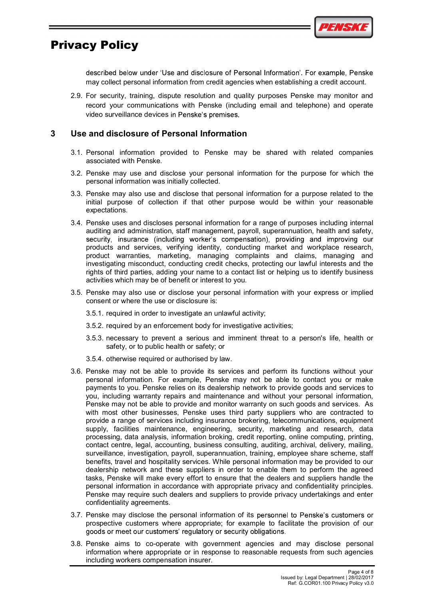

described below under 'Use and disclosure of Personal Information'. For example, Penske may collect personal information from credit agencies when establishing a credit account.

2.9. For security, training, dispute resolution and quality purposes Penske may monitor and record your communications with Penske (including email and telephone) and operate video surveillance devices in Penske's premises.

#### 3 Use and disclosure of Personal Information

- 3.1. Personal information provided to Penske may be shared with related companies associated with Penske.
- 3.2. Penske may use and disclose your personal information for the purpose for which the personal information was initially collected.
- 3.3. Penske may also use and disclose that personal information for a purpose related to the initial purpose of collection if that other purpose would be within your reasonable expectations.
- 3.4. Penske uses and discloses personal information for a range of purposes including internal auditing and administration, staff management, payroll, superannuation, health and safety, security, insurance (including worker's compensation), providing and improving our products and services, verifying identity, conducting market and workplace research, product warranties, marketing, managing complaints and claims, managing and investigating misconduct, conducting credit checks, protecting our lawful interests and the rights of third parties, adding your name to a contact list or helping us to identify business activities which may be of benefit or interest to you.
- 3.5. Penske may also use or disclose your personal information with your express or implied consent or where the use or disclosure is:
	- 3.5.1. required in order to investigate an unlawful activity;
	- 3.5.2. required by an enforcement body for investigative activities;
	- 3.5.3. necessary to prevent a serious and imminent threat to a person's life, health or safety, or to public health or safety; or
	- 3.5.4. otherwise required or authorised by law.
- 3.6. Penske may not be able to provide its services and perform its functions without your personal information. For example, Penske may not be able to contact you or make payments to you. Penske relies on its dealership network to provide goods and services to you, including warranty repairs and maintenance and without your personal information, Penske may not be able to provide and monitor warranty on such goods and services. As with most other businesses, Penske uses third party suppliers who are contracted to provide a range of services including insurance brokering, telecommunications, equipment supply, facilities maintenance, engineering, security, marketing and research, data processing, data analysis, information broking, credit reporting, online computing, printing, contact centre, legal, accounting, business consulting, auditing, archival, delivery, mailing, surveillance, investigation, payroll, superannuation, training, employee share scheme, staff benefits, travel and hospitality services. While personal information may be provided to our dealership network and these suppliers in order to enable them to perform the agreed tasks, Penske will make every effort to ensure that the dealers and suppliers handle the personal information in accordance with appropriate privacy and confidentiality principles. Penske may require such dealers and suppliers to provide privacy undertakings and enter confidentiality agreements.
- 3.7. Penske may disclose the personal information of its personnel to Penske's customers or prospective customers where appropriate; for example to facilitate the provision of our goods or meet our customers' regulatory or security obligations.
- 3.8. Penske aims to co-operate with government agencies and may disclose personal information where appropriate or in response to reasonable requests from such agencies including workers compensation insurer.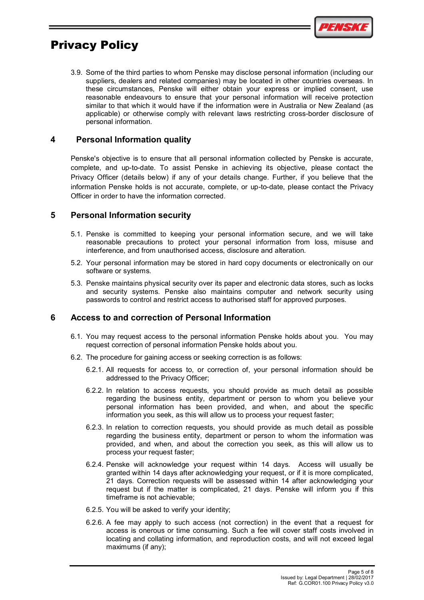

3.9. Some of the third parties to whom Penske may disclose personal information (including our suppliers, dealers and related companies) may be located in other countries overseas. In these circumstances, Penske will either obtain your express or implied consent, use reasonable endeavours to ensure that your personal information will receive protection similar to that which it would have if the information were in Australia or New Zealand (as applicable) or otherwise comply with relevant laws restricting cross-border disclosure of personal information.

#### 4 Personal Information quality

Penske's objective is to ensure that all personal information collected by Penske is accurate, complete, and up-to-date. To assist Penske in achieving its objective, please contact the Privacy Officer (details below) if any of your details change. Further, if you believe that the information Penske holds is not accurate, complete, or up-to-date, please contact the Privacy Officer in order to have the information corrected.

#### 5 Personal Information security

- 5.1. Penske is committed to keeping your personal information secure, and we will take reasonable precautions to protect your personal information from loss, misuse and interference, and from unauthorised access, disclosure and alteration.
- 5.2. Your personal information may be stored in hard copy documents or electronically on our software or systems.
- 5.3. Penske maintains physical security over its paper and electronic data stores, such as locks and security systems. Penske also maintains computer and network security using passwords to control and restrict access to authorised staff for approved purposes.

#### 6 Access to and correction of Personal Information

- 6.1. You may request access to the personal information Penske holds about you. You may request correction of personal information Penske holds about you.
- 6.2. The procedure for gaining access or seeking correction is as follows:
	- addressed to the Privacy Officer;
- mation Penske holds is not accurate, complete, or up-to-date, please contact the Privacy<br>
er in order to have the information corrected.<br> **Sonal Information security**<br>
Penske is committed to keeping your personal informati 6.2.2. In relation to access requests, you should provide as much detail as possible regarding the business entity, department or person to whom you believe your personal information has been provided, and when, and about the specific information you seek, as this will allow us to process your request faster;
	- 6.2.3. In relation to correction requests, you should provide as much detail as possible regarding the business entity, department or person to whom the information was provided, and when, and about the correction you seek, as this will allow us to process your request faster;
- 6.2.4. Penske will acknowledge your request within 14 days. Access will usually be granted within 14 days after acknowledging your request, or if it is more complicated, 21 days. Correction requests will be assessed within 14 after acknowledging your request but if the matter is complicated, 21 days. Penske will inform you if this timeframe is not achievable; Four may request access to the personal information Penske holds about you. You may request correction of personal information Penske holds about you. You may the procedure for gaining access or seeking correction is as fo
	- 6.2.5. You will be asked to verify your identity;
	- access is onerous or time consuming. Such a fee will cover staff costs involved in locating and collating information, and reproduction costs, and will not exceed legal maximums (if any);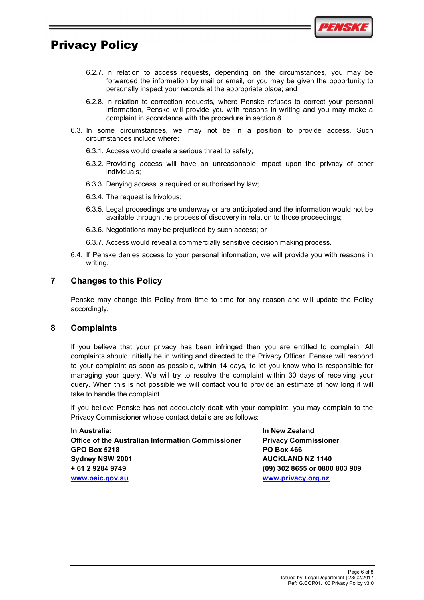

- 6.2.7. In relation to access requests, depending on the circumstances, you may be forwarded the information by mail or email, or you may be given the opportunity to personally inspect your records at the appropriate place; and
- 6.2.8. In relation to correction requests, where Penske refuses to correct your personal information, Penske will provide you with reasons in writing and you may make a complaint in accordance with the procedure in section 8. **EXAMET CONSTRANT CONSTRANT CONSTRANT CONSTRANT CONSTRANT CONSTRANT CONSTRANT CONSTRANT CONSTRANT CONSTRANT CONSTRANT CONSTRANT CONSTRANT CONSTRANT CONSTRANT CONSTRANT CONSTRANT CONSTRANT CONSTRANT CONSTRANT CONSTRANT CON** 6.2.7. In relation to access requests, depending on the circumstances, you may be forwarded the information by mail or email, or you may be given the opportunity to personally inspect your records at the appropriate place;
- 6.3. In some circumstances, we may not be in a position to provide access. Such circumstances include where:
	- 6.3.1. Access would create a serious threat to safety;
	- individuals;
	- 6.3.3. Denying access is required or authorised by law;
	- 6.3.4. The request is frivolous;
	- 6.3.5. Legal proceedings are underway or are anticipated and the information would not be available through the process of discovery in relation to those proceedings;
	- 6.3.6. Negotiations may be prejudiced by such access; or
	-
- 6.4. If Penske denies access to your personal information, we will provide you with reasons in writing.

#### 7 Changes to this Policy

Penske may change this Policy from time to time for any reason and will update the Policy accordingly.

#### 8 Complaints

If you believe that your privacy has been infringed then you are entitled to complain. All complaints should initially be in writing and directed to the Privacy Officer. Penske will respond to your complaint as soon as possible, within 14 days, to let you know who is responsible for managing your query. We will try to resolve the complaint within 30 days of receiving your query. When this is not possible we will contact you to provide an estimate of how long it will take to handle the complaint. Penske may change this Policy from time to time for any reason and will update the Policy<br>accordingly.<br>Complaints<br>If you believe that your privacy has been infringed then you are entitled to complain. All<br>of your complaint

If you believe Penske has not adequately dealt with your complaint, you may complain to the Privacy Commissioner whose contact details are as follows:

In Australia: In New Zealand Office of the Australian Information Commissioner Privacy Commissioner GPO Box 5218 **PO Box 466** Sydney NSW 2001 **AUCKLAND NZ 1140** + 61 2 9284 9749 (09) 302 8655 or 0800 803 909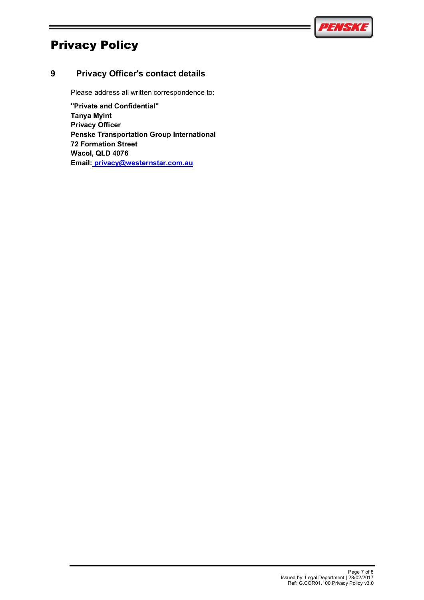

#### 9 Privacy Officer's contact details

Please address all written correspondence to:

"Private and Confidential" Tanya Myint Privacy Officer Penske Transportation Group International 72 Formation Street Wacol, QLD 4076 Email: privacy@westernstar.com.au